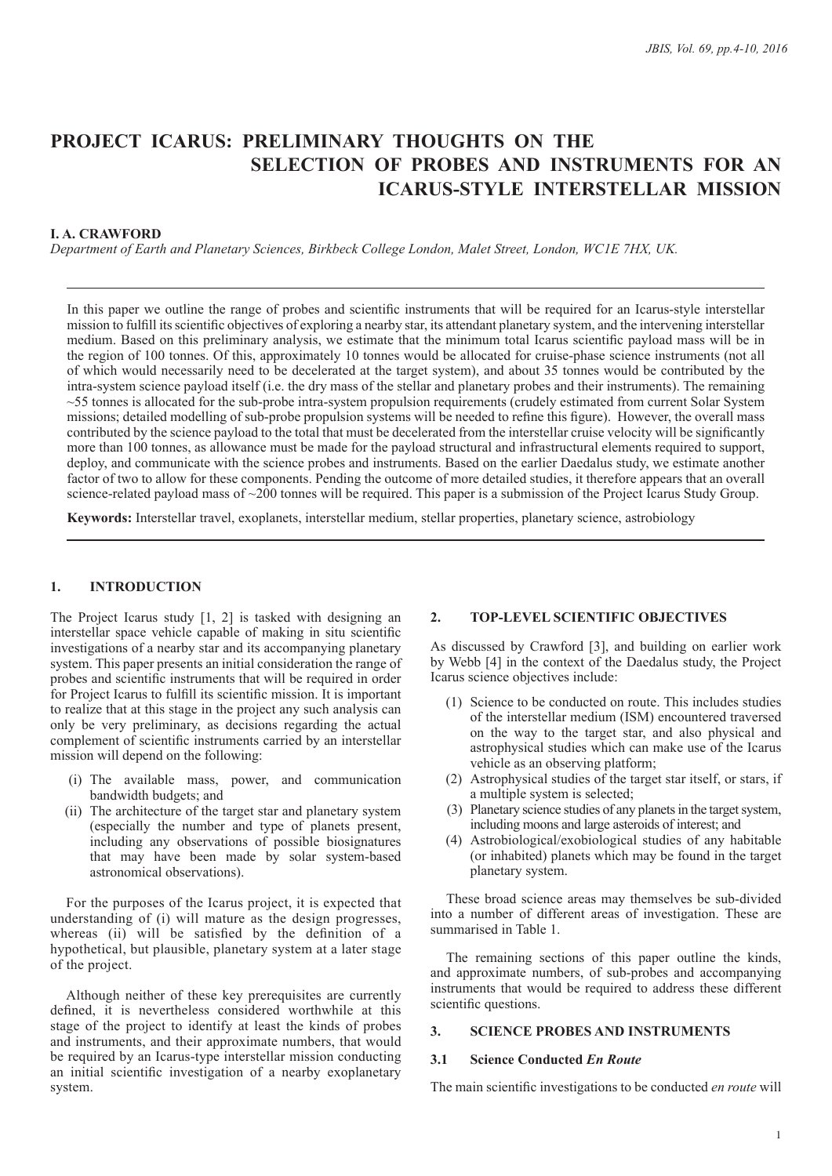# **PROJECT ICARUS: PRELIMINARY THOUGHTS ON THE SELECTION OF PROBES AND INSTRUMENTS FOR AN ICARUS-STYLE INTERSTELLAR MISSION**

#### **I. A. CRAWFORD**

*Department of Earth and Planetary Sciences, Birkbeck College London, Malet Street, London, WC1E 7HX, UK.*

In this paper we outline the range of probes and scientific instruments that will be required for an Icarus-style interstellar mission to fulfill its scientific objectives of exploring a nearby star, its attendant planetary system, and the intervening interstellar medium. Based on this preliminary analysis, we estimate that the minimum total Icarus scientific payload mass will be in the region of 100 tonnes. Of this, approximately 10 tonnes would be allocated for cruise-phase science instruments (not all of which would necessarily need to be decelerated at the target system), and about 35 tonnes would be contributed by the intra-system science payload itself (i.e. the dry mass of the stellar and planetary probes and their instruments). The remaining ~55 tonnes is allocated for the sub-probe intra-system propulsion requirements (crudely estimated from current Solar System missions; detailed modelling of sub-probe propulsion systems will be needed to refine this figure). However, the overall mass contributed by the science payload to the total that must be decelerated from the interstellar cruise velocity will be significantly more than 100 tonnes, as allowance must be made for the payload structural and infrastructural elements required to support, deploy, and communicate with the science probes and instruments. Based on the earlier Daedalus study, we estimate another factor of two to allow for these components. Pending the outcome of more detailed studies, it therefore appears that an overall science-related payload mass of ~200 tonnes will be required. This paper is a submission of the Project Icarus Study Group.

**Keywords:** Interstellar travel, exoplanets, interstellar medium, stellar properties, planetary science, astrobiology

### **1. INTRODUCTION**

The Project Icarus study [1, 2] is tasked with designing an interstellar space vehicle capable of making in situ scientific investigations of a nearby star and its accompanying planetary system. This paper presents an initial consideration the range of probes and scientific instruments that will be required in order for Project Icarus to fulfill its scientific mission. It is important to realize that at this stage in the project any such analysis can only be very preliminary, as decisions regarding the actual complement of scientific instruments carried by an interstellar mission will depend on the following:

- (i) The available mass, power, and communication bandwidth budgets; and
- (ii) The architecture of the target star and planetary system (especially the number and type of planets present, including any observations of possible biosignatures that may have been made by solar system-based astronomical observations).

For the purposes of the Icarus project, it is expected that understanding of (i) will mature as the design progresses, whereas (ii) will be satisfied by the definition of a hypothetical, but plausible, planetary system at a later stage of the project.

Although neither of these key prerequisites are currently defined, it is nevertheless considered worthwhile at this stage of the project to identify at least the kinds of probes and instruments, and their approximate numbers, that would be required by an Icarus-type interstellar mission conducting an initial scientific investigation of a nearby exoplanetary system.

#### **2. TOP-LEVEL SCIENTIFIC OBJECTIVES**

As discussed by Crawford [3], and building on earlier work by Webb [4] in the context of the Daedalus study, the Project Icarus science objectives include:

- (1) Science to be conducted on route. This includes studies of the interstellar medium (ISM) encountered traversed on the way to the target star, and also physical and astrophysical studies which can make use of the Icarus vehicle as an observing platform;
- (2) Astrophysical studies of the target star itself, or stars, if a multiple system is selected;
- (3) Planetary science studies of any planets in the target system, including moons and large asteroids of interest; and
- (4) Astrobiological/exobiological studies of any habitable (or inhabited) planets which may be found in the target planetary system.

These broad science areas may themselves be sub-divided into a number of different areas of investigation. These are summarised in Table 1.

The remaining sections of this paper outline the kinds, and approximate numbers, of sub-probes and accompanying instruments that would be required to address these different scientific questions.

### **3. SCIENCE PROBES AND INSTRUMENTS**

#### **3.1 Science Conducted** *En Route*

The main scientific investigations to be conducted *en route* will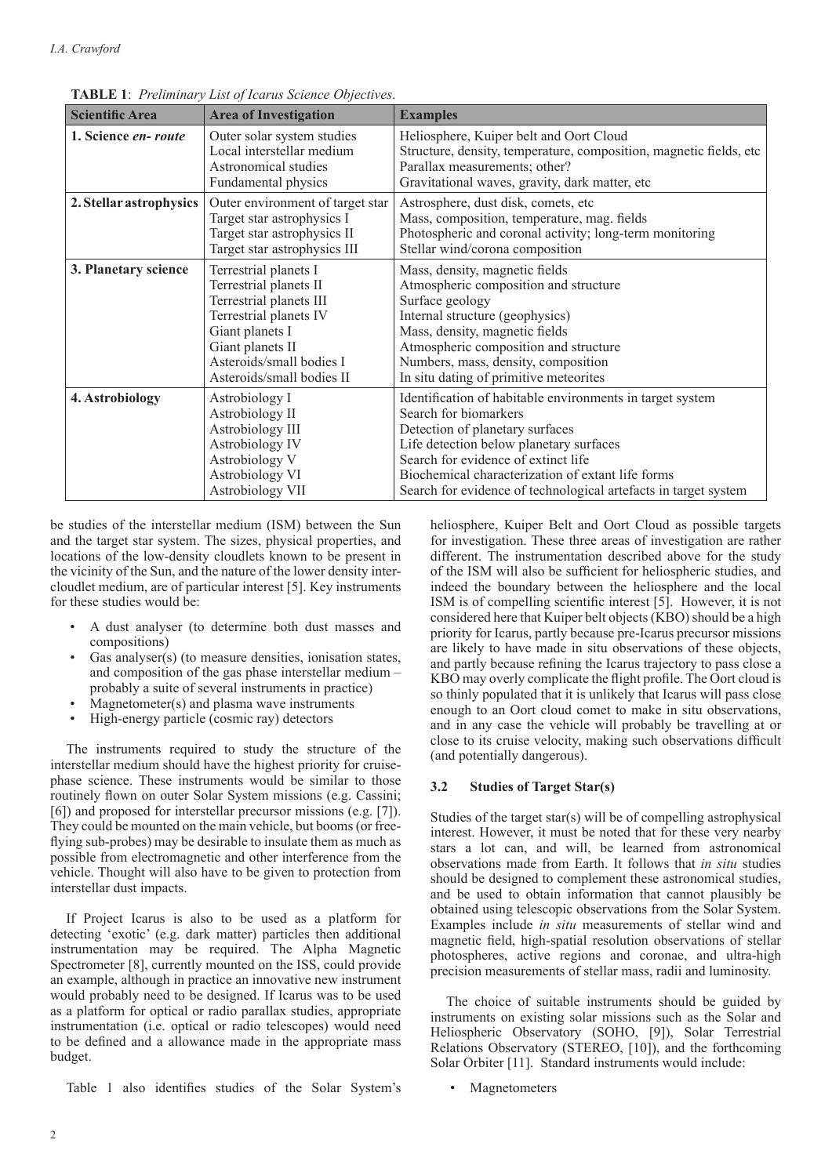| <b>Scientific Area</b>     | <b>Area of Investigation</b>                                                                                                                                                                         | <b>Examples</b>                                                                                                                                                                                                                                                                                                                 |  |
|----------------------------|------------------------------------------------------------------------------------------------------------------------------------------------------------------------------------------------------|---------------------------------------------------------------------------------------------------------------------------------------------------------------------------------------------------------------------------------------------------------------------------------------------------------------------------------|--|
| 1. Science <i>en-route</i> | Outer solar system studies<br>Local interstellar medium<br>Astronomical studies<br>Fundamental physics                                                                                               | Heliosphere, Kuiper belt and Oort Cloud<br>Structure, density, temperature, composition, magnetic fields, etc<br>Parallax measurements; other?<br>Gravitational waves, gravity, dark matter, etc                                                                                                                                |  |
| 2. Stellar astrophysics    | Outer environment of target star<br>Target star astrophysics I<br>Target star astrophysics II<br>Target star astrophysics III                                                                        | Astrosphere, dust disk, comets, etc<br>Mass, composition, temperature, mag. fields<br>Photospheric and coronal activity; long-term monitoring<br>Stellar wind/corona composition                                                                                                                                                |  |
| 3. Planetary science       | Terrestrial planets I<br>Terrestrial planets II<br>Terrestrial planets III<br>Terrestrial planets IV<br>Giant planets I<br>Giant planets II<br>Asteroids/small bodies I<br>Asteroids/small bodies II | Mass, density, magnetic fields<br>Atmospheric composition and structure<br>Surface geology<br>Internal structure (geophysics)<br>Mass, density, magnetic fields<br>Atmospheric composition and structure<br>Numbers, mass, density, composition<br>In situ dating of primitive meteorites                                       |  |
| 4. Astrobiology            | Astrobiology I<br>Astrobiology II<br>Astrobiology III<br>Astrobiology IV<br>Astrobiology V<br>Astrobiology VI<br>Astrobiology VII                                                                    | Identification of habitable environments in target system<br>Search for biomarkers<br>Detection of planetary surfaces<br>Life detection below planetary surfaces<br>Search for evidence of extinct life<br>Biochemical characterization of extant life forms<br>Search for evidence of technological artefacts in target system |  |

**TABLE 1**: *Preliminary List of Icarus Science Objectives*.

be studies of the interstellar medium (ISM) between the Sun and the target star system. The sizes, physical properties, and locations of the low-density cloudlets known to be present in the vicinity of the Sun, and the nature of the lower density intercloudlet medium, are of particular interest [5]. Key instruments for these studies would be:

- A dust analyser (to determine both dust masses and compositions)
- Gas analyser(s) (to measure densities, ionisation states, and composition of the gas phase interstellar medium – probably a suite of several instruments in practice)
- Magnetometer(s) and plasma wave instruments
- High-energy particle (cosmic ray) detectors

The instruments required to study the structure of the interstellar medium should have the highest priority for cruisephase science. These instruments would be similar to those routinely flown on outer Solar System missions (e.g. Cassini; [6]) and proposed for interstellar precursor missions (e.g. [7]). They could be mounted on the main vehicle, but booms (or freeflying sub-probes) may be desirable to insulate them as much as possible from electromagnetic and other interference from the vehicle. Thought will also have to be given to protection from interstellar dust impacts.

If Project Icarus is also to be used as a platform for detecting 'exotic' (e.g. dark matter) particles then additional instrumentation may be required. The Alpha Magnetic Spectrometer [8], currently mounted on the ISS, could provide an example, although in practice an innovative new instrument would probably need to be designed. If Icarus was to be used as a platform for optical or radio parallax studies, appropriate instrumentation (i.e. optical or radio telescopes) would need to be defined and a allowance made in the appropriate mass budget.

Table 1 also identifies studies of the Solar System's

heliosphere, Kuiper Belt and Oort Cloud as possible targets for investigation. These three areas of investigation are rather different. The instrumentation described above for the study of the ISM will also be sufficient for heliospheric studies, and indeed the boundary between the heliosphere and the local ISM is of compelling scientific interest [5]. However, it is not considered here that Kuiper belt objects (KBO) should be a high priority for Icarus, partly because pre-Icarus precursor missions are likely to have made in situ observations of these objects, and partly because refining the Icarus trajectory to pass close a KBO may overly complicate the flight profile. The Oort cloud is so thinly populated that it is unlikely that Icarus will pass close enough to an Oort cloud comet to make in situ observations, and in any case the vehicle will probably be travelling at or close to its cruise velocity, making such observations difficult (and potentially dangerous).

## **3.2 Studies of Target Star(s)**

Studies of the target star(s) will be of compelling astrophysical interest. However, it must be noted that for these very nearby stars a lot can, and will, be learned from astronomical observations made from Earth. It follows that *in situ* studies should be designed to complement these astronomical studies, and be used to obtain information that cannot plausibly be obtained using telescopic observations from the Solar System. Examples include *in situ* measurements of stellar wind and magnetic field, high-spatial resolution observations of stellar photospheres, active regions and coronae, and ultra-high precision measurements of stellar mass, radii and luminosity.

The choice of suitable instruments should be guided by instruments on existing solar missions such as the Solar and Heliospheric Observatory (SOHO, [9]), Solar Terrestrial Relations Observatory (STEREO, [10]), and the forthcoming Solar Orbiter [11]. Standard instruments would include:

**Magnetometers**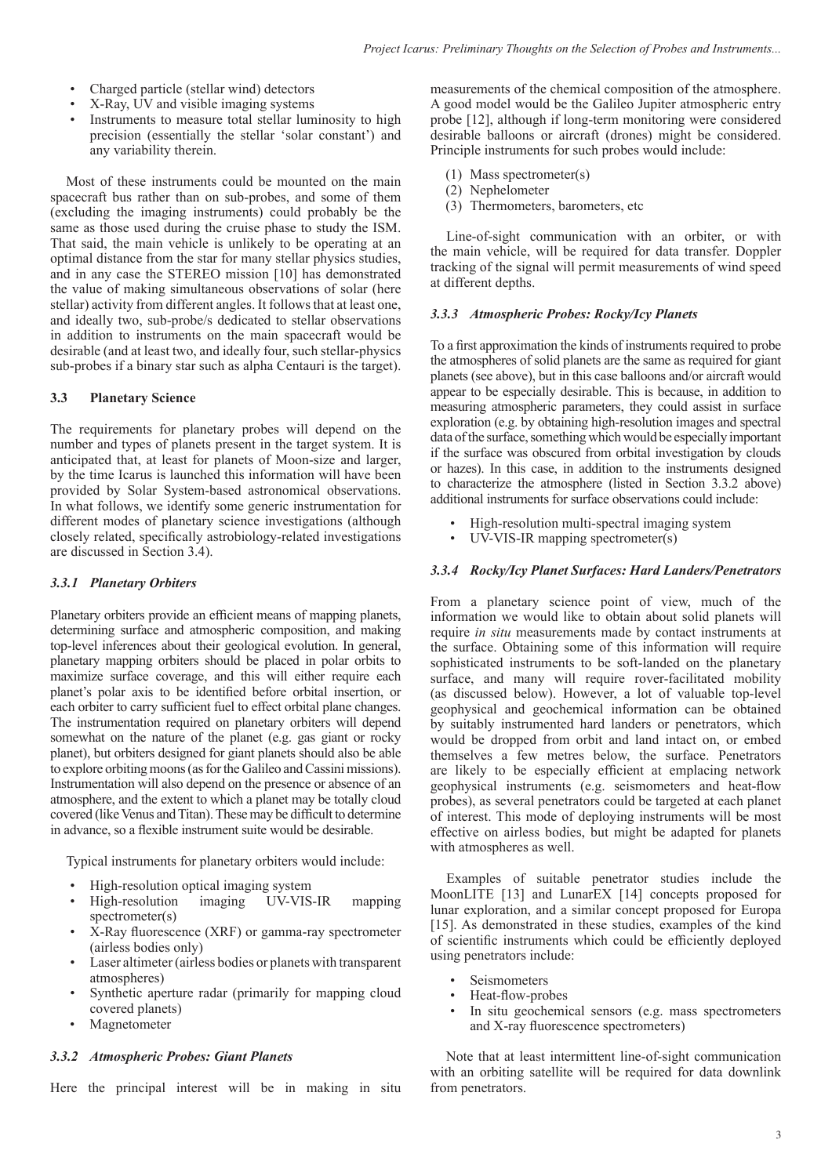- Charged particle (stellar wind) detectors
- X-Ray, UV and visible imaging systems
- Instruments to measure total stellar luminosity to high precision (essentially the stellar 'solar constant') and any variability therein.

Most of these instruments could be mounted on the main spacecraft bus rather than on sub-probes, and some of them (excluding the imaging instruments) could probably be the same as those used during the cruise phase to study the ISM. That said, the main vehicle is unlikely to be operating at an optimal distance from the star for many stellar physics studies, and in any case the STEREO mission [10] has demonstrated the value of making simultaneous observations of solar (here stellar) activity from different angles. It follows that at least one, and ideally two, sub-probe/s dedicated to stellar observations in addition to instruments on the main spacecraft would be desirable (and at least two, and ideally four, such stellar-physics sub-probes if a binary star such as alpha Centauri is the target).

#### **3.3 Planetary Science**

The requirements for planetary probes will depend on the number and types of planets present in the target system. It is anticipated that, at least for planets of Moon-size and larger, by the time Icarus is launched this information will have been provided by Solar System-based astronomical observations. In what follows, we identify some generic instrumentation for different modes of planetary science investigations (although closely related, specifically astrobiology-related investigations are discussed in Section 3.4).

#### *3.3.1 Planetary Orbiters*

Planetary orbiters provide an efficient means of mapping planets, determining surface and atmospheric composition, and making top-level inferences about their geological evolution. In general, planetary mapping orbiters should be placed in polar orbits to maximize surface coverage, and this will either require each planet's polar axis to be identified before orbital insertion, or each orbiter to carry sufficient fuel to effect orbital plane changes. The instrumentation required on planetary orbiters will depend somewhat on the nature of the planet (e.g. gas giant or rocky planet), but orbiters designed for giant planets should also be able to explore orbiting moons (as for the Galileo and Cassini missions). Instrumentation will also depend on the presence or absence of an atmosphere, and the extent to which a planet may be totally cloud covered (like Venus and Titan). These may be difficult to determine in advance, so a flexible instrument suite would be desirable.

Typical instruments for planetary orbiters would include:

- High-resolution optical imaging system
- High-resolution imaging UV-VIS-IR mapping spectrometer(s)
- X-Ray fluorescence (XRF) or gamma-ray spectrometer (airless bodies only)
- Laser altimeter (airless bodies or planets with transparent atmospheres)
- Synthetic aperture radar (primarily for mapping cloud covered planets)
- Magnetometer

#### *3.3.2 Atmospheric Probes: Giant Planets*

Here the principal interest will be in making in situ

measurements of the chemical composition of the atmosphere. A good model would be the Galileo Jupiter atmospheric entry probe [12], although if long-term monitoring were considered desirable balloons or aircraft (drones) might be considered. Principle instruments for such probes would include:

- (1) Mass spectrometer(s)
- (2) Nephelometer
- (3) Thermometers, barometers, etc

Line-of-sight communication with an orbiter, or with the main vehicle, will be required for data transfer. Doppler tracking of the signal will permit measurements of wind speed at different depths.

## *3.3.3 Atmospheric Probes: Rocky/Icy Planets*

To a first approximation the kinds of instruments required to probe the atmospheres of solid planets are the same as required for giant planets (see above), but in this case balloons and/or aircraft would appear to be especially desirable. This is because, in addition to measuring atmospheric parameters, they could assist in surface exploration (e.g. by obtaining high-resolution images and spectral data of the surface, something which would be especially important if the surface was obscured from orbital investigation by clouds or hazes). In this case, in addition to the instruments designed to characterize the atmosphere (listed in Section 3.3.2 above) additional instruments for surface observations could include:

- High-resolution multi-spectral imaging system
- UV-VIS-IR mapping spectrometer(s)

#### *3.3.4 Rocky/Icy Planet Surfaces: Hard Landers/Penetrators*

From a planetary science point of view, much of the information we would like to obtain about solid planets will require *in situ* measurements made by contact instruments at the surface. Obtaining some of this information will require sophisticated instruments to be soft-landed on the planetary surface, and many will require rover-facilitated mobility (as discussed below). However, a lot of valuable top-level geophysical and geochemical information can be obtained by suitably instrumented hard landers or penetrators, which would be dropped from orbit and land intact on, or embed themselves a few metres below, the surface. Penetrators are likely to be especially efficient at emplacing network geophysical instruments (e.g. seismometers and heat-flow probes), as several penetrators could be targeted at each planet of interest. This mode of deploying instruments will be most effective on airless bodies, but might be adapted for planets with atmospheres as well.

Examples of suitable penetrator studies include the MoonLITE [13] and LunarEX [14] concepts proposed for lunar exploration, and a similar concept proposed for Europa [15]. As demonstrated in these studies, examples of the kind of scientific instruments which could be efficiently deployed using penetrators include:

- **Seismometers**
- Heat-flow-probes
- In situ geochemical sensors (e.g. mass spectrometers) and X-ray fluorescence spectrometers)

Note that at least intermittent line-of-sight communication with an orbiting satellite will be required for data downlink from penetrators.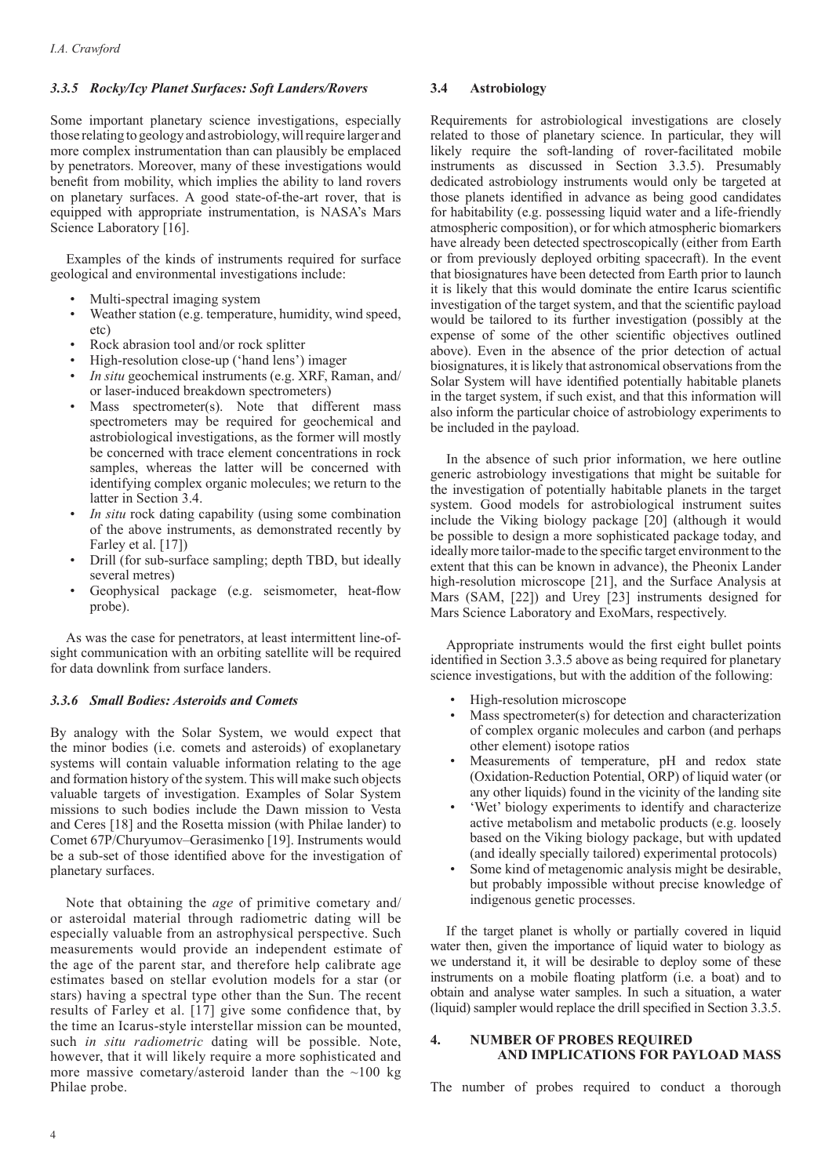## *3.3.5 Rocky/Icy Planet Surfaces: Soft Landers/Rovers*

Some important planetary science investigations, especially those relating to geology and astrobiology, will require larger and more complex instrumentation than can plausibly be emplaced by penetrators. Moreover, many of these investigations would benefit from mobility, which implies the ability to land rovers on planetary surfaces. A good state-of-the-art rover, that is equipped with appropriate instrumentation, is NASA's Mars Science Laboratory [16].

Examples of the kinds of instruments required for surface geological and environmental investigations include:

- Multi-spectral imaging system
- Weather station (e.g. temperature, humidity, wind speed, etc)
- Rock abrasion tool and/or rock splitter
- High-resolution close-up ('hand lens') imager
- *In situ* geochemical instruments (e.g. XRF, Raman, and/ or laser-induced breakdown spectrometers)
- Mass spectrometer(s). Note that different mass spectrometers may be required for geochemical and astrobiological investigations, as the former will mostly be concerned with trace element concentrations in rock samples, whereas the latter will be concerned with identifying complex organic molecules; we return to the latter in Section 3.4.
- *In situ* rock dating capability (using some combination of the above instruments, as demonstrated recently by Farley et al. [17])
- Drill (for sub-surface sampling; depth TBD, but ideally several metres)
- Geophysical package (e.g. seismometer, heat-flow probe).

As was the case for penetrators, at least intermittent line-ofsight communication with an orbiting satellite will be required for data downlink from surface landers.

## *3.3.6 Small Bodies: Asteroids and Comets*

By analogy with the Solar System, we would expect that the minor bodies (i.e. comets and asteroids) of exoplanetary systems will contain valuable information relating to the age and formation history of the system. This will make such objects valuable targets of investigation. Examples of Solar System missions to such bodies include the Dawn mission to Vesta and Ceres [18] and the Rosetta mission (with Philae lander) to Comet 67P/Churyumov–Gerasimenko [19]. Instruments would be a sub-set of those identified above for the investigation of planetary surfaces.

Note that obtaining the *age* of primitive cometary and/ or asteroidal material through radiometric dating will be especially valuable from an astrophysical perspective. Such measurements would provide an independent estimate of the age of the parent star, and therefore help calibrate age estimates based on stellar evolution models for a star (or stars) having a spectral type other than the Sun. The recent results of Farley et al. [17] give some confidence that, by the time an Icarus-style interstellar mission can be mounted, such *in situ radiometric* dating will be possible. Note, however, that it will likely require a more sophisticated and more massive cometary/asteroid lander than the  $\sim$ 100 kg Philae probe.

## **3.4 Astrobiology**

Requirements for astrobiological investigations are closely related to those of planetary science. In particular, they will likely require the soft-landing of rover-facilitated mobile instruments as discussed in Section 3.3.5). Presumably dedicated astrobiology instruments would only be targeted at those planets identified in advance as being good candidates for habitability (e.g. possessing liquid water and a life-friendly atmospheric composition), or for which atmospheric biomarkers have already been detected spectroscopically (either from Earth or from previously deployed orbiting spacecraft). In the event that biosignatures have been detected from Earth prior to launch it is likely that this would dominate the entire Icarus scientific investigation of the target system, and that the scientific payload would be tailored to its further investigation (possibly at the expense of some of the other scientific objectives outlined above). Even in the absence of the prior detection of actual biosignatures, it is likely that astronomical observations from the Solar System will have identified potentially habitable planets in the target system, if such exist, and that this information will also inform the particular choice of astrobiology experiments to be included in the payload.

In the absence of such prior information, we here outline generic astrobiology investigations that might be suitable for the investigation of potentially habitable planets in the target system. Good models for astrobiological instrument suites include the Viking biology package [20] (although it would be possible to design a more sophisticated package today, and ideally more tailor-made to the specific target environment to the extent that this can be known in advance), the Pheonix Lander high-resolution microscope [21], and the Surface Analysis at Mars (SAM, [22]) and Urey [23] instruments designed for Mars Science Laboratory and ExoMars, respectively.

Appropriate instruments would the first eight bullet points identified in Section 3.3.5 above as being required for planetary science investigations, but with the addition of the following:

- High-resolution microscope
- Mass spectrometer(s) for detection and characterization of complex organic molecules and carbon (and perhaps other element) isotope ratios
- Measurements of temperature, pH and redox state (Oxidation-Reduction Potential, ORP) of liquid water (or any other liquids) found in the vicinity of the landing site
- 'Wet' biology experiments to identify and characterize active metabolism and metabolic products (e.g. loosely based on the Viking biology package, but with updated (and ideally specially tailored) experimental protocols)
- Some kind of metagenomic analysis might be desirable, but probably impossible without precise knowledge of indigenous genetic processes.

If the target planet is wholly or partially covered in liquid water then, given the importance of liquid water to biology as we understand it, it will be desirable to deploy some of these instruments on a mobile floating platform (i.e. a boat) and to obtain and analyse water samples. In such a situation, a water (liquid) sampler would replace the drill specified in Section 3.3.5.

## **4. NUMBER OF PROBES REQUIRED AND IMPLICATIONS FOR PAYLOAD MASS**

The number of probes required to conduct a thorough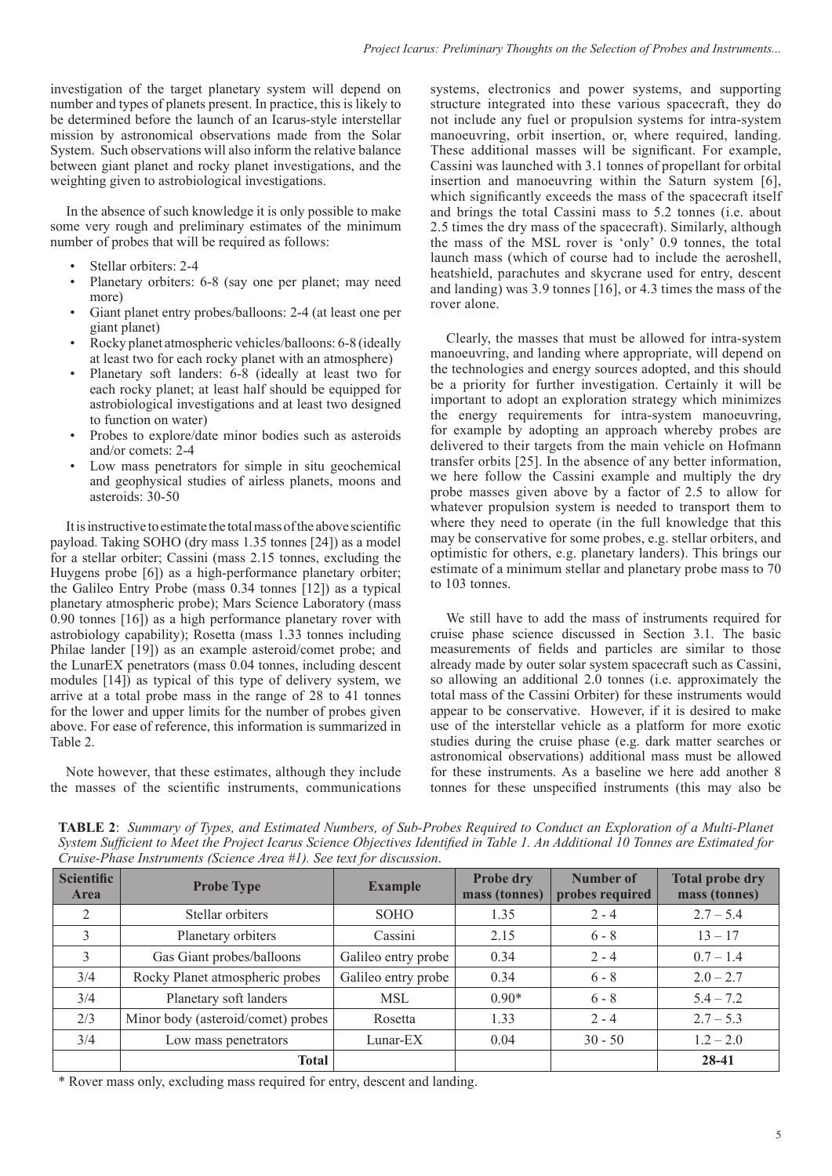investigation of the target planetary system will depend on number and types of planets present. In practice, this is likely to be determined before the launch of an Icarus-style interstellar mission by astronomical observations made from the Solar System. Such observations will also inform the relative balance between giant planet and rocky planet investigations, and the weighting given to astrobiological investigations.

In the absence of such knowledge it is only possible to make some very rough and preliminary estimates of the minimum number of probes that will be required as follows:

- Stellar orbiters: 2-4
- Planetary orbiters: 6-8 (say one per planet; may need more)
- Giant planet entry probes/balloons: 2-4 (at least one per giant planet)
- Rocky planet atmospheric vehicles/balloons: 6-8 (ideally at least two for each rocky planet with an atmosphere)
- Planetary soft landers: 6-8 (ideally at least two for each rocky planet; at least half should be equipped for astrobiological investigations and at least two designed to function on water)
- Probes to explore/date minor bodies such as asteroids and/or comets: 2-4
- Low mass penetrators for simple in situ geochemical and geophysical studies of airless planets, moons and asteroids: 30-50

It is instructive to estimate the total mass of the above scientific payload. Taking SOHO (dry mass 1.35 tonnes [24]) as a model for a stellar orbiter; Cassini (mass 2.15 tonnes, excluding the Huygens probe [6]) as a high-performance planetary orbiter; the Galileo Entry Probe (mass 0.34 tonnes [12]) as a typical planetary atmospheric probe); Mars Science Laboratory (mass 0.90 tonnes [16]) as a high performance planetary rover with astrobiology capability); Rosetta (mass 1.33 tonnes including Philae lander [19]) as an example asteroid/comet probe; and the LunarEX penetrators (mass 0.04 tonnes, including descent modules [14]) as typical of this type of delivery system, we arrive at a total probe mass in the range of 28 to 41 tonnes for the lower and upper limits for the number of probes given above. For ease of reference, this information is summarized in Table 2.

Note however, that these estimates, although they include the masses of the scientific instruments, communications systems, electronics and power systems, and supporting structure integrated into these various spacecraft, they do not include any fuel or propulsion systems for intra-system manoeuvring, orbit insertion, or, where required, landing. These additional masses will be significant. For example, Cassini was launched with 3.1 tonnes of propellant for orbital insertion and manoeuvring within the Saturn system [6], which significantly exceeds the mass of the spacecraft itself and brings the total Cassini mass to 5.2 tonnes (i.e. about 2.5 times the dry mass of the spacecraft). Similarly, although the mass of the MSL rover is 'only' 0.9 tonnes, the total launch mass (which of course had to include the aeroshell, heatshield, parachutes and skycrane used for entry, descent and landing) was 3.9 tonnes [16], or 4.3 times the mass of the rover alone.

Clearly, the masses that must be allowed for intra-system manoeuvring, and landing where appropriate, will depend on the technologies and energy sources adopted, and this should be a priority for further investigation. Certainly it will be important to adopt an exploration strategy which minimizes the energy requirements for intra-system manoeuvring, for example by adopting an approach whereby probes are delivered to their targets from the main vehicle on Hofmann transfer orbits [25]. In the absence of any better information, we here follow the Cassini example and multiply the dry probe masses given above by a factor of 2.5 to allow for whatever propulsion system is needed to transport them to where they need to operate (in the full knowledge that this may be conservative for some probes, e.g. stellar orbiters, and optimistic for others, e.g. planetary landers). This brings our estimate of a minimum stellar and planetary probe mass to 70 to 103 tonnes.

We still have to add the mass of instruments required for cruise phase science discussed in Section 3.1. The basic measurements of fields and particles are similar to those already made by outer solar system spacecraft such as Cassini, so allowing an additional 2.0 tonnes (i.e. approximately the total mass of the Cassini Orbiter) for these instruments would appear to be conservative. However, if it is desired to make use of the interstellar vehicle as a platform for more exotic studies during the cruise phase (e.g. dark matter searches or astronomical observations) additional mass must be allowed for these instruments. As a baseline we here add another 8 tonnes for these unspecified instruments (this may also be

**TABLE 2**: *Summary of Types, and Estimated Numbers, of Sub-Probes Required to Conduct an Exploration of a Multi-Planet System Sufficient to Meet the Project Icarus Science Objectives Identified in Table 1. An Additional 10 Tonnes are Estimated for Cruise-Phase Instruments (Science Area #1). See text for discussion*.

| <b>Scientific</b><br><b>Area</b> | <b>Probe Type</b>                  | <b>Example</b>      | <b>Probe dry</b><br>mass (tonnes) | Number of<br>probes required | <b>Total probe dry</b><br>mass (tonnes) |
|----------------------------------|------------------------------------|---------------------|-----------------------------------|------------------------------|-----------------------------------------|
| 2                                | Stellar orbiters                   | <b>SOHO</b>         | 1.35                              | $2 - 4$                      | $2.7 - 5.4$                             |
| 3                                | Planetary orbiters                 | Cassini             | 2.15                              | $6 - 8$                      | $13 - 17$                               |
| 3                                | Gas Giant probes/balloons          | Galileo entry probe | 0.34                              | $2 - 4$                      | $0.7 - 1.4$                             |
| 3/4                              | Rocky Planet atmospheric probes    | Galileo entry probe | 0.34                              | $6 - 8$                      | $2.0 - 2.7$                             |
| 3/4                              | Planetary soft landers             | <b>MSL</b>          | $0.90*$                           | $6 - 8$                      | $5.4 - 7.2$                             |
| 2/3                              | Minor body (asteroid/comet) probes | Rosetta             | 1.33                              | $2 - 4$                      | $2.7 - 5.3$                             |
| 3/4                              | Low mass penetrators               | $Lunar-EX$          | 0.04                              | $30 - 50$                    | $1.2 - 2.0$                             |
|                                  | <b>Total</b>                       |                     |                                   |                              | 28-41                                   |

\* Rover mass only, excluding mass required for entry, descent and landing.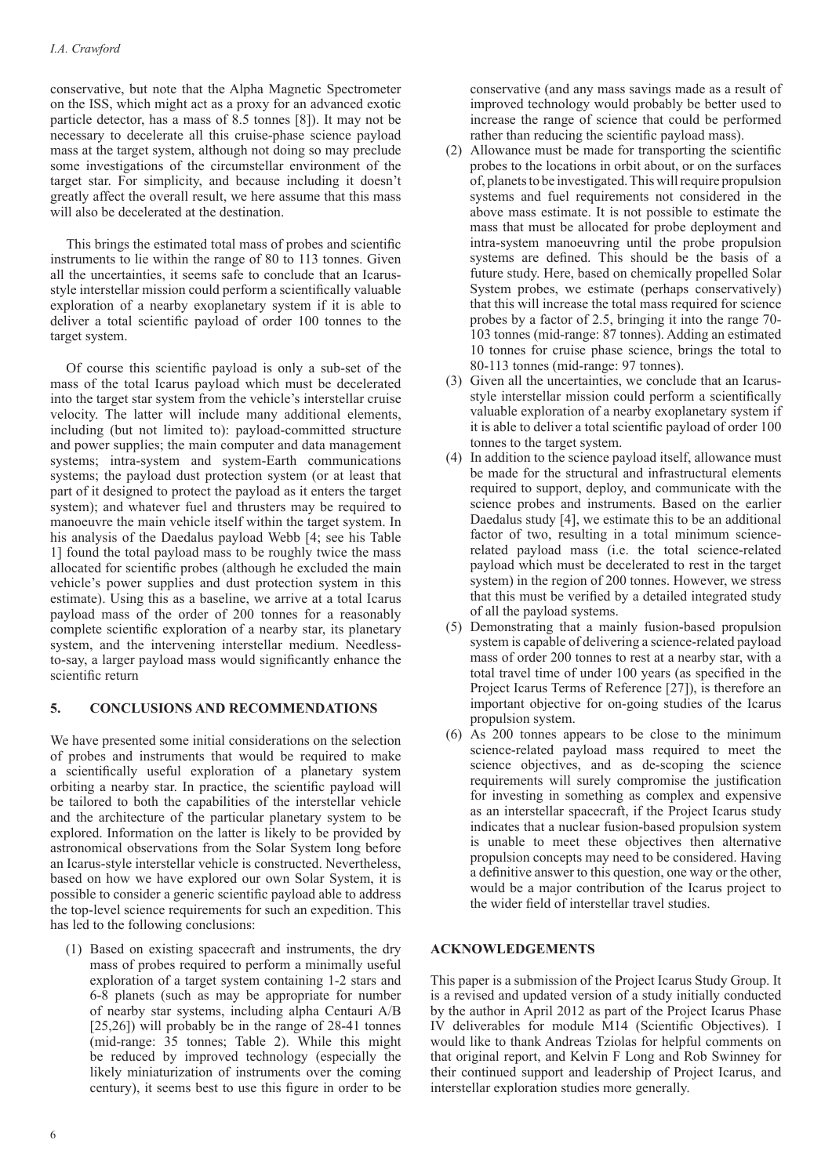conservative, but note that the Alpha Magnetic Spectrometer on the ISS, which might act as a proxy for an advanced exotic particle detector, has a mass of 8.5 tonnes [8]). It may not be necessary to decelerate all this cruise-phase science payload mass at the target system, although not doing so may preclude some investigations of the circumstellar environment of the target star. For simplicity, and because including it doesn't greatly affect the overall result, we here assume that this mass will also be decelerated at the destination.

This brings the estimated total mass of probes and scientific instruments to lie within the range of 80 to 113 tonnes. Given all the uncertainties, it seems safe to conclude that an Icarusstyle interstellar mission could perform a scientifically valuable exploration of a nearby exoplanetary system if it is able to deliver a total scientific payload of order 100 tonnes to the target system.

Of course this scientific payload is only a sub-set of the mass of the total Icarus payload which must be decelerated into the target star system from the vehicle's interstellar cruise velocity. The latter will include many additional elements, including (but not limited to): payload-committed structure and power supplies; the main computer and data management systems; intra-system and system-Earth communications systems; the payload dust protection system (or at least that part of it designed to protect the payload as it enters the target system); and whatever fuel and thrusters may be required to manoeuvre the main vehicle itself within the target system. In his analysis of the Daedalus payload Webb [4; see his Table 1] found the total payload mass to be roughly twice the mass allocated for scientific probes (although he excluded the main vehicle's power supplies and dust protection system in this estimate). Using this as a baseline, we arrive at a total Icarus payload mass of the order of 200 tonnes for a reasonably complete scientific exploration of a nearby star, its planetary system, and the intervening interstellar medium. Needlessto-say, a larger payload mass would significantly enhance the scientific return

## **5. CONCLUSIONS AND RECOMMENDATIONS**

We have presented some initial considerations on the selection of probes and instruments that would be required to make a scientifically useful exploration of a planetary system orbiting a nearby star. In practice, the scientific payload will be tailored to both the capabilities of the interstellar vehicle and the architecture of the particular planetary system to be explored. Information on the latter is likely to be provided by astronomical observations from the Solar System long before an Icarus-style interstellar vehicle is constructed. Nevertheless, based on how we have explored our own Solar System, it is possible to consider a generic scientific payload able to address the top-level science requirements for such an expedition. This has led to the following conclusions:

(1) Based on existing spacecraft and instruments, the dry mass of probes required to perform a minimally useful exploration of a target system containing 1-2 stars and 6-8 planets (such as may be appropriate for number of nearby star systems, including alpha Centauri A/B [25,26]) will probably be in the range of 28-41 tonnes (mid-range: 35 tonnes; Table 2). While this might be reduced by improved technology (especially the likely miniaturization of instruments over the coming century), it seems best to use this figure in order to be

conservative (and any mass savings made as a result of improved technology would probably be better used to increase the range of science that could be performed rather than reducing the scientific payload mass).

- (2) Allowance must be made for transporting the scientific probes to the locations in orbit about, or on the surfaces of, planets to be investigated. This will require propulsion systems and fuel requirements not considered in the above mass estimate. It is not possible to estimate the mass that must be allocated for probe deployment and intra-system manoeuvring until the probe propulsion systems are defined. This should be the basis of a future study. Here, based on chemically propelled Solar System probes, we estimate (perhaps conservatively) that this will increase the total mass required for science probes by a factor of 2.5, bringing it into the range 70- 103 tonnes (mid-range: 87 tonnes). Adding an estimated 10 tonnes for cruise phase science, brings the total to 80-113 tonnes (mid-range: 97 tonnes).
- (3) Given all the uncertainties, we conclude that an Icarusstyle interstellar mission could perform a scientifically valuable exploration of a nearby exoplanetary system if it is able to deliver a total scientific payload of order 100 tonnes to the target system.
- (4) In addition to the science payload itself, allowance must be made for the structural and infrastructural elements required to support, deploy, and communicate with the science probes and instruments. Based on the earlier Daedalus study [4], we estimate this to be an additional factor of two, resulting in a total minimum sciencerelated payload mass (i.e. the total science-related payload which must be decelerated to rest in the target system) in the region of 200 tonnes. However, we stress that this must be verified by a detailed integrated study of all the payload systems.
- (5) Demonstrating that a mainly fusion-based propulsion system is capable of delivering a science-related payload mass of order 200 tonnes to rest at a nearby star, with a total travel time of under 100 years (as specified in the Project Icarus Terms of Reference [27]), is therefore an important objective for on-going studies of the Icarus propulsion system.
- (6) As 200 tonnes appears to be close to the minimum science-related payload mass required to meet the science objectives, and as de-scoping the science requirements will surely compromise the justification for investing in something as complex and expensive as an interstellar spacecraft, if the Project Icarus study indicates that a nuclear fusion-based propulsion system is unable to meet these objectives then alternative propulsion concepts may need to be considered. Having a definitive answer to this question, one way or the other, would be a major contribution of the Icarus project to the wider field of interstellar travel studies.

## **ACKNOWLEDGEMENTS**

This paper is a submission of the Project Icarus Study Group. It is a revised and updated version of a study initially conducted by the author in April 2012 as part of the Project Icarus Phase IV deliverables for module M14 (Scientific Objectives). I would like to thank Andreas Tziolas for helpful comments on that original report, and Kelvin F Long and Rob Swinney for their continued support and leadership of Project Icarus, and interstellar exploration studies more generally.